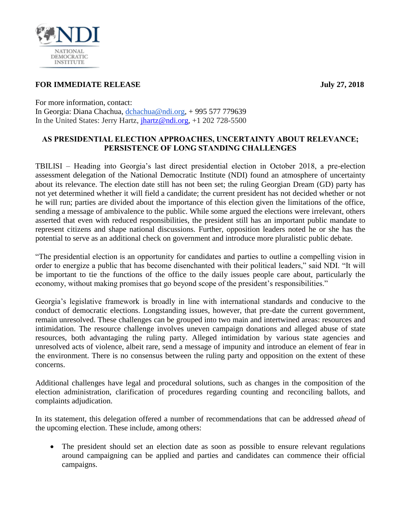

## **FOR IMMEDIATE RELEASE July 27, 2018**

For more information, contact: In Georgia: Diana Chachua, [dchachua@ndi.org,](mailto:dchachua@ndi.org) + 995 577 779639 In the United States: Jerry Hartz, [jhartz@ndi.org,](jhartz@ndi.org) +1 202 728-5500

## **AS PRESIDENTIAL ELECTION APPROACHES, UNCERTAINTY ABOUT RELEVANCE; PERSISTENCE OF LONG STANDING CHALLENGES**

TBILISI – Heading into Georgia's last direct presidential election in October 2018, a pre-election assessment delegation of the National Democratic Institute (NDI) found an atmosphere of uncertainty about its relevance. The election date still has not been set; the ruling Georgian Dream (GD) party has not yet determined whether it will field a candidate; the current president has not decided whether or not he will run; parties are divided about the importance of this election given the limitations of the office, sending a message of ambivalence to the public. While some argued the elections were irrelevant, others asserted that even with reduced responsibilities, the president still has an important public mandate to represent citizens and shape national discussions. Further, opposition leaders noted he or she has the potential to serve as an additional check on government and introduce more pluralistic public debate.

"The presidential election is an opportunity for candidates and parties to outline a compelling vision in order to energize a public that has become disenchanted with their political leaders," said NDI. "It will be important to tie the functions of the office to the daily issues people care about, particularly the economy, without making promises that go beyond scope of the president's responsibilities."

Georgia's legislative framework is broadly in line with international standards and conducive to the conduct of democratic elections. Longstanding issues, however, that pre-date the current government, remain unresolved. These challenges can be grouped into two main and intertwined areas: resources and intimidation. The resource challenge involves uneven campaign donations and alleged abuse of state resources, both advantaging the ruling party. Alleged intimidation by various state agencies and unresolved acts of violence, albeit rare, send a message of impunity and introduce an element of fear in the environment. There is no consensus between the ruling party and opposition on the extent of these concerns.

Additional challenges have legal and procedural solutions, such as changes in the composition of the election administration, clarification of procedures regarding counting and reconciling ballots, and complaints adjudication.

In its statement, this delegation offered a number of recommendations that can be addressed *ahead* of the upcoming election. These include, among others:

 The president should set an election date as soon as possible to ensure relevant regulations around campaigning can be applied and parties and candidates can commence their official campaigns.